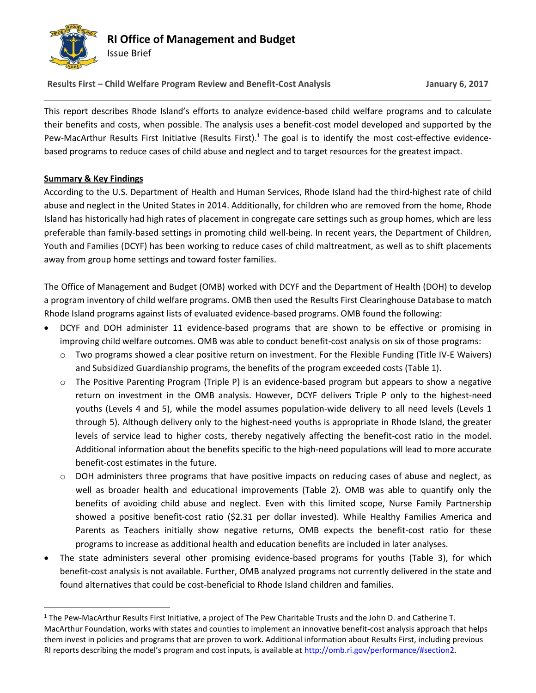

**Results First – Child Welfare Program Review and Benefit-Cost Analysis January 6, 2017**

This report describes Rhode Island's efforts to analyze evidence-based child welfare programs and to calculate their benefits and costs, when possible. The analysis uses a benefit-cost model developed and supported by the Pew-MacArthur Results First Initiative (Results First).<sup>1</sup> The goal is to identify the most cost-effective evidencebased programs to reduce cases of child abuse and neglect and to target resources for the greatest impact.

## **Summary & Key Findings**

 $\overline{a}$ 

According to the U.S. Department of Health and Human Services, Rhode Island had the third-highest rate of child abuse and neglect in the United States in 2014. Additionally, for children who are removed from the home, Rhode Island has historically had high rates of placement in congregate care settings such as group homes, which are less preferable than family-based settings in promoting child well-being. In recent years, the Department of Children, Youth and Families (DCYF) has been working to reduce cases of child maltreatment, as well as to shift placements away from group home settings and toward foster families.

The Office of Management and Budget (OMB) worked with DCYF and the Department of Health (DOH) to develop a program inventory of child welfare programs. OMB then used the Results First Clearinghouse Database to match Rhode Island programs against lists of evaluated evidence-based programs. OMB found the following:

- DCYF and DOH administer 11 evidence-based programs that are shown to be effective or promising in improving child welfare outcomes. OMB was able to conduct benefit-cost analysis on six of those programs:
	- o Two programs showed a clear positive return on investment. For the Flexible Funding (Title IV-E Waivers) and Subsidized Guardianship programs, the benefits of the program exceeded costs (Table 1).
	- o The Positive Parenting Program (Triple P) is an evidence-based program but appears to show a negative return on investment in the OMB analysis. However, DCYF delivers Triple P only to the highest-need youths (Levels 4 and 5), while the model assumes population-wide delivery to all need levels (Levels 1 through 5). Although delivery only to the highest-need youths is appropriate in Rhode Island, the greater levels of service lead to higher costs, thereby negatively affecting the benefit-cost ratio in the model. Additional information about the benefits specific to the high-need populations will lead to more accurate benefit-cost estimates in the future.
	- o DOH administers three programs that have positive impacts on reducing cases of abuse and neglect, as well as broader health and educational improvements (Table 2). OMB was able to quantify only the benefits of avoiding child abuse and neglect. Even with this limited scope, Nurse Family Partnership showed a positive benefit-cost ratio (\$2.31 per dollar invested). While Healthy Families America and Parents as Teachers initially show negative returns, OMB expects the benefit-cost ratio for these programs to increase as additional health and education benefits are included in later analyses.
- The state administers several other promising evidence-based programs for youths (Table 3), for which benefit-cost analysis is not available. Further, OMB analyzed programs not currently delivered in the state and found alternatives that could be cost-beneficial to Rhode Island children and families.

<sup>1</sup> The Pew-MacArthur Results First Initiative, a project of The Pew Charitable Trusts and the John D. and Catherine T. MacArthur Foundation, works with states and counties to implement an innovative benefit-cost analysis approach that helps them invest in policies and programs that are proven to work. Additional information about Results First, including previous RI reports describing the model's program and cost inputs, is available at [http://omb.ri.gov/performance/#section2.](http://omb.ri.gov/performance/#section2)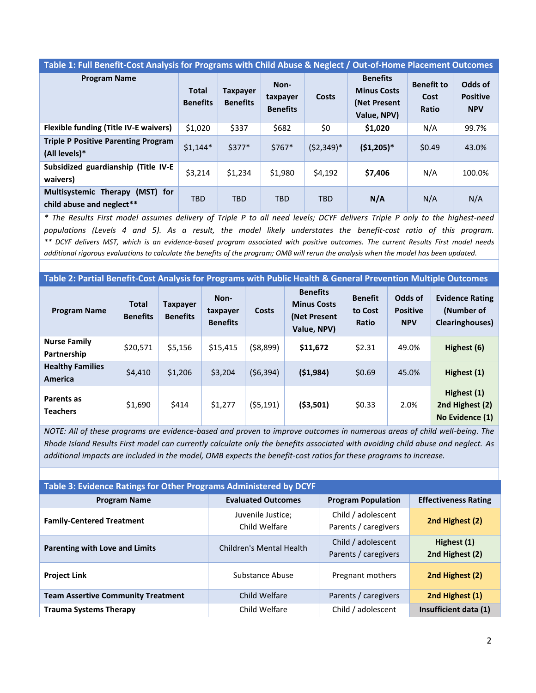#### **Table 1: Full Benefit-Cost Analysis for Programs with Child Abuse & Neglect / Out-of-Home Placement Outcomes**

| <b>Program Name</b>                                             | <b>Total</b><br><b>Benefits</b> | <b>Taxpayer</b><br><b>Benefits</b> | Non-<br>taxpayer<br><b>Benefits</b> | Costs        | <b>Benefits</b><br><b>Minus Costs</b><br>(Net Present)<br>Value, NPV) | <b>Benefit to</b><br>Cost<br>Ratio | Odds of<br><b>Positive</b><br><b>NPV</b> |
|-----------------------------------------------------------------|---------------------------------|------------------------------------|-------------------------------------|--------------|-----------------------------------------------------------------------|------------------------------------|------------------------------------------|
| <b>Flexible funding (Title IV-E waivers)</b>                    | \$1,020                         | \$337                              | \$682                               | \$0          | \$1,020                                                               | N/A                                | 99.7%                                    |
| <b>Triple P Positive Parenting Program</b><br>(All levels)*     | $$1,144*$                       | $$377*$                            | $$767*$                             | $(52,349)^*$ | $(51,205)*$                                                           | \$0.49                             | 43.0%                                    |
| Subsidized guardianship (Title IV-E<br>waivers)                 | \$3,214                         | \$1,234                            | \$1,980                             | \$4,192      | \$7,406                                                               | N/A                                | 100.0%                                   |
| (MST) for<br>Multisystemic Therapy<br>child abuse and neglect** | <b>TBD</b>                      | <b>TBD</b>                         | <b>TBD</b>                          | <b>TBD</b>   | N/A                                                                   | N/A                                | N/A                                      |

*\* The Results First model assumes delivery of Triple P to all need levels; DCYF delivers Triple P only to the highest-need populations (Levels 4 and 5). As a result, the model likely understates the benefit-cost ratio of this program. \*\* DCYF delivers MST, which is an evidence-based program associated with positive outcomes. The current Results First model needs additional rigorous evaluations to calculate the benefits of the program; OMB will rerun the analysis when the model has been updated.* 

**Table 2: Partial Benefit-Cost Analysis for Programs with Public Health & General Prevention Multiple Outcomes**

| <b>Program Name</b>                       | <b>Total</b><br><b>Benefits</b> | <b>Taxpayer</b><br><b>Benefits</b> | Non-<br>taxpayer<br><b>Benefits</b> | Costs     | <b>Benefits</b><br><b>Minus Costs</b><br>(Net Present<br>Value, NPV) | <b>Benefit</b><br>to Cost<br>Ratio | Odds of<br><b>Positive</b><br><b>NPV</b> | <b>Evidence Rating</b><br>(Number of<br><b>Clearinghouses</b> ) |
|-------------------------------------------|---------------------------------|------------------------------------|-------------------------------------|-----------|----------------------------------------------------------------------|------------------------------------|------------------------------------------|-----------------------------------------------------------------|
| <b>Nurse Family</b><br>Partnership        | \$20,571                        | \$5,156                            | \$15,415                            | (58, 899) | \$11,672                                                             | \$2.31                             | 49.0%                                    | Highest (6)                                                     |
| <b>Healthy Families</b><br><b>America</b> | \$4,410                         | \$1,206                            | \$3,204                             | (56, 394) | (51,984)                                                             | \$0.69                             | 45.0%                                    | Highest (1)                                                     |
| Parents as<br><b>Teachers</b>             | \$1,690                         | \$414                              | \$1,277                             | (55, 191) | ( \$3,501)                                                           | \$0.33                             | 2.0%                                     | Highest (1)<br>2nd Highest (2)<br>No Evidence (1)               |

*NOTE: All of these programs are evidence-based and proven to improve outcomes in numerous areas of child well-being. The Rhode Island Results First model can currently calculate only the benefits associated with avoiding child abuse and neglect. As additional impacts are included in the model, OMB expects the benefit-cost ratios for these programs to increase.*

| Table 3: Evidence Ratings for Other Programs Administered by DCYF |                                    |                                            |                                |  |  |  |  |  |  |
|-------------------------------------------------------------------|------------------------------------|--------------------------------------------|--------------------------------|--|--|--|--|--|--|
| <b>Program Name</b>                                               | <b>Evaluated Outcomes</b>          | <b>Program Population</b>                  | <b>Effectiveness Rating</b>    |  |  |  |  |  |  |
| <b>Family-Centered Treatment</b>                                  | Juvenile Justice;<br>Child Welfare | Child / adolescent<br>Parents / caregivers | 2nd Highest (2)                |  |  |  |  |  |  |
| <b>Parenting with Love and Limits</b>                             | Children's Mental Health           | Child / adolescent<br>Parents / caregivers | Highest (1)<br>2nd Highest (2) |  |  |  |  |  |  |
| <b>Project Link</b>                                               | Substance Abuse                    | Pregnant mothers                           | 2nd Highest (2)                |  |  |  |  |  |  |
| <b>Team Assertive Community Treatment</b>                         | Child Welfare                      | Parents / caregivers                       | 2nd Highest (1)                |  |  |  |  |  |  |
| <b>Trauma Systems Therapy</b>                                     | Child Welfare                      | Child / adolescent                         | Insufficient data (1)          |  |  |  |  |  |  |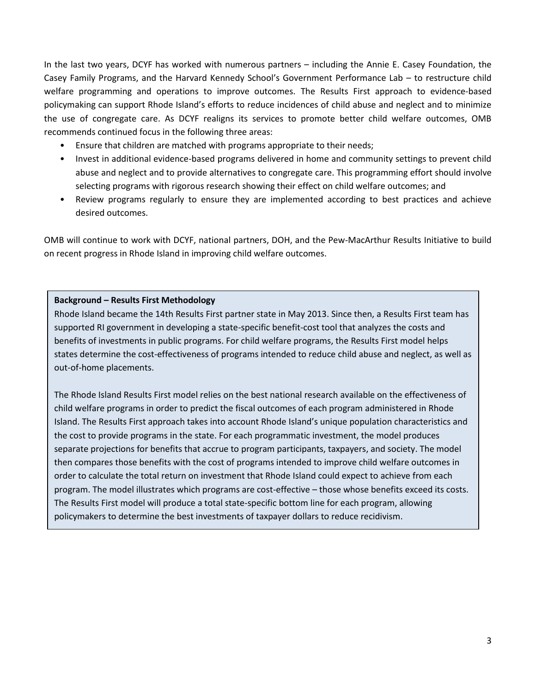In the last two years, DCYF has worked with numerous partners – including the Annie E. Casey Foundation, the Casey Family Programs, and the Harvard Kennedy School's Government Performance Lab – to restructure child welfare programming and operations to improve outcomes. The Results First approach to evidence-based policymaking can support Rhode Island's efforts to reduce incidences of child abuse and neglect and to minimize the use of congregate care. As DCYF realigns its services to promote better child welfare outcomes, OMB recommends continued focus in the following three areas:

- Ensure that children are matched with programs appropriate to their needs;
- Invest in additional evidence-based programs delivered in home and community settings to prevent child abuse and neglect and to provide alternatives to congregate care. This programming effort should involve selecting programs with rigorous research showing their effect on child welfare outcomes; and
- Review programs regularly to ensure they are implemented according to best practices and achieve desired outcomes.

OMB will continue to work with DCYF, national partners, DOH, and the Pew-MacArthur Results Initiative to build on recent progress in Rhode Island in improving child welfare outcomes.

### **Background – Results First Methodology**

Rhode Island became the 14th Results First partner state in May 2013. Since then, a Results First team has supported RI government in developing a state-specific benefit-cost tool that analyzes the costs and benefits of investments in public programs. For child welfare programs, the Results First model helps states determine the cost-effectiveness of programs intended to reduce child abuse and neglect, as well as out-of-home placements.

The Rhode Island Results First model relies on the best national research available on the effectiveness of child welfare programs in order to predict the fiscal outcomes of each program administered in Rhode Island. The Results First approach takes into account Rhode Island's unique population characteristics and the cost to provide programs in the state. For each programmatic investment, the model produces separate projections for benefits that accrue to program participants, taxpayers, and society. The model then compares those benefits with the cost of programs intended to improve child welfare outcomes in order to calculate the total return on investment that Rhode Island could expect to achieve from each program. The model illustrates which programs are cost-effective – those whose benefits exceed its costs. The Results First model will produce a total state-specific bottom line for each program, allowing policymakers to determine the best investments of taxpayer dollars to reduce recidivism.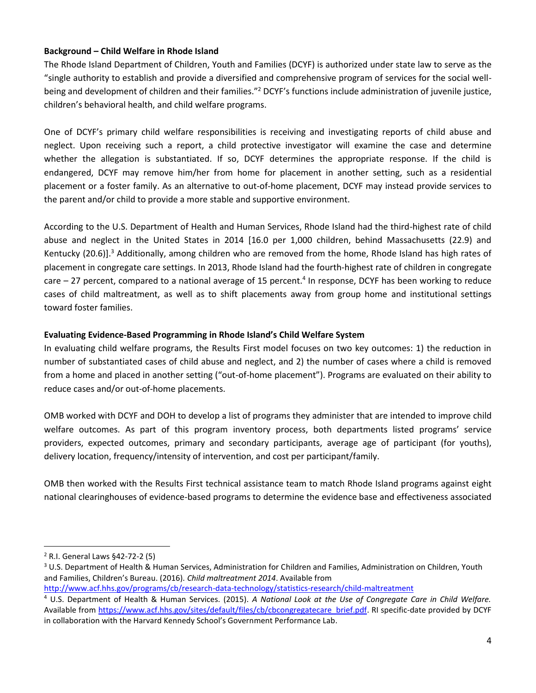### **Background – Child Welfare in Rhode Island**

The Rhode Island Department of Children, Youth and Families (DCYF) is authorized under state law to serve as the "single authority to establish and provide a diversified and comprehensive program of services for the social wellbeing and development of children and their families."<sup>2</sup> DCYF's functions include administration of juvenile justice, children's behavioral health, and child welfare programs.

One of DCYF's primary child welfare responsibilities is receiving and investigating reports of child abuse and neglect. Upon receiving such a report, a child protective investigator will examine the case and determine whether the allegation is substantiated. If so, DCYF determines the appropriate response. If the child is endangered, DCYF may remove him/her from home for placement in another setting, such as a residential placement or a foster family. As an alternative to out-of-home placement, DCYF may instead provide services to the parent and/or child to provide a more stable and supportive environment.

According to the U.S. Department of Health and Human Services, Rhode Island had the third-highest rate of child abuse and neglect in the United States in 2014 [16.0 per 1,000 children, behind Massachusetts (22.9) and Kentucky (20.6)].<sup>3</sup> Additionally, among children who are removed from the home, Rhode Island has high rates of placement in congregate care settings. In 2013, Rhode Island had the fourth-highest rate of children in congregate care  $-$  27 percent, compared to a national average of 15 percent.<sup>4</sup> In response, DCYF has been working to reduce cases of child maltreatment, as well as to shift placements away from group home and institutional settings toward foster families.

### **Evaluating Evidence-Based Programming in Rhode Island's Child Welfare System**

In evaluating child welfare programs, the Results First model focuses on two key outcomes: 1) the reduction in number of substantiated cases of child abuse and neglect, and 2) the number of cases where a child is removed from a home and placed in another setting ("out-of-home placement"). Programs are evaluated on their ability to reduce cases and/or out-of-home placements.

OMB worked with DCYF and DOH to develop a list of programs they administer that are intended to improve child welfare outcomes. As part of this program inventory process, both departments listed programs' service providers, expected outcomes, primary and secondary participants, average age of participant (for youths), delivery location, frequency/intensity of intervention, and cost per participant/family.

OMB then worked with the Results First technical assistance team to match Rhode Island programs against eight national clearinghouses of evidence-based programs to determine the evidence base and effectiveness associated

 $\overline{a}$ 

<sup>2</sup> R.I. General Laws §42-72-2 (5)

<sup>3</sup> U.S. Department of Health & Human Services, Administration for Children and Families, Administration on Children, Youth and Families, Children's Bureau. (2016). *Child maltreatment 2014*. Available from

<http://www.acf.hhs.gov/programs/cb/research-data-technology/statistics-research/child-maltreatment>

<sup>4</sup> U.S. Department of Health & Human Services. (2015). *A National Look at the Use of Congregate Care in Child Welfare.*  Available from [https://www.acf.hhs.gov/sites/default/files/cb/cbcongregatecare\\_brief.pdf.](https://www.acf.hhs.gov/sites/default/files/cb/cbcongregatecare_brief.pdf) RI specific-date provided by DCYF in collaboration with the Harvard Kennedy School's Government Performance Lab.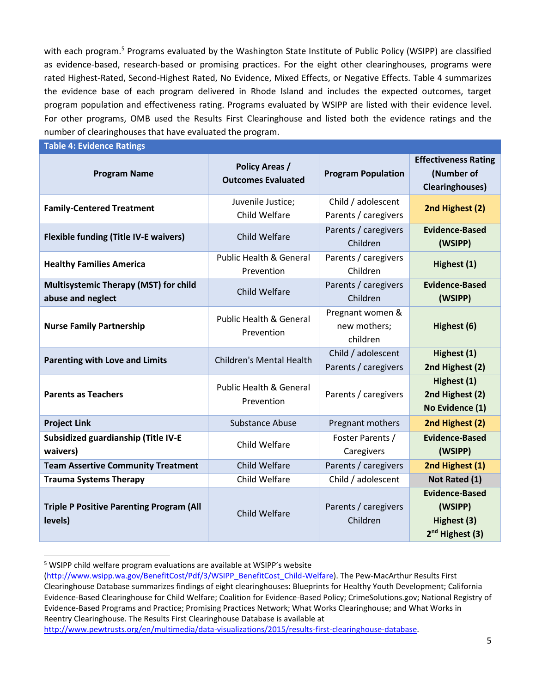with each program.<sup>5</sup> Programs evaluated by the Washington State Institute of Public Policy (WSIPP) are classified as evidence-based, research-based or promising practices. For the eight other clearinghouses, programs were rated Highest-Rated, Second-Highest Rated, No Evidence, Mixed Effects, or Negative Effects. Table 4 summarizes the evidence base of each program delivered in Rhode Island and includes the expected outcomes, target program population and effectiveness rating. Programs evaluated by WSIPP are listed with their evidence level. For other programs, OMB used the Results First Clearinghouse and listed both the evidence ratings and the number of clearinghouses that have evaluated the program.

**Table 4: Evidence Ratings** 

 $\overline{a}$ 

| <b>Program Name</b>                                               | <b>Policy Areas /</b><br><b>Outcomes Evaluated</b> | <b>Program Population</b>                    | <b>Effectiveness Rating</b><br>(Number of<br><b>Clearinghouses</b> )           |
|-------------------------------------------------------------------|----------------------------------------------------|----------------------------------------------|--------------------------------------------------------------------------------|
| <b>Family-Centered Treatment</b>                                  | Juvenile Justice;<br>Child Welfare                 | Child / adolescent<br>Parents / caregivers   | 2nd Highest (2)                                                                |
| <b>Flexible funding (Title IV-E waivers)</b>                      | Child Welfare                                      | Parents / caregivers<br>Children             | <b>Evidence-Based</b><br>(WSIPP)                                               |
| <b>Healthy Families America</b>                                   | <b>Public Health &amp; General</b><br>Prevention   | Parents / caregivers<br>Children             | Highest (1)                                                                    |
| <b>Multisystemic Therapy (MST) for child</b><br>abuse and neglect | Child Welfare                                      | Parents / caregivers<br>Children             | <b>Evidence-Based</b><br>(WSIPP)                                               |
| <b>Nurse Family Partnership</b>                                   | <b>Public Health &amp; General</b><br>Prevention   | Pregnant women &<br>new mothers;<br>children | Highest (6)                                                                    |
| <b>Parenting with Love and Limits</b>                             | <b>Children's Mental Health</b>                    | Child / adolescent<br>Parents / caregivers   | Highest (1)<br>2nd Highest (2)                                                 |
| <b>Parents as Teachers</b>                                        | <b>Public Health &amp; General</b><br>Prevention   | Parents / caregivers                         | Highest (1)<br>2nd Highest (2)<br>No Evidence (1)                              |
| <b>Project Link</b>                                               | <b>Substance Abuse</b>                             | Pregnant mothers                             | 2nd Highest (2)                                                                |
| Subsidized guardianship (Title IV-E<br>waivers)                   | Child Welfare                                      | Foster Parents /<br>Caregivers               | <b>Evidence-Based</b><br>(WSIPP)                                               |
| <b>Team Assertive Community Treatment</b>                         | Child Welfare                                      | Parents / caregivers                         | 2nd Highest (1)                                                                |
| <b>Trauma Systems Therapy</b>                                     | Child Welfare                                      | Child / adolescent                           | Not Rated (1)                                                                  |
| <b>Triple P Positive Parenting Program (All</b><br>levels)        | Child Welfare                                      | Parents / caregivers<br>Children             | <b>Evidence-Based</b><br>(WSIPP)<br>Highest (3)<br>2 <sup>nd</sup> Highest (3) |

<sup>5</sup> WSIPP child welfare program evaluations are available at WSIPP's website

[<sup>\(</sup>http://www.wsipp.wa.gov/BenefitCost/Pdf/3/WSIPP\\_BenefitCost\\_Child-Welfare\)](http://www.wsipp.wa.gov/BenefitCost/Pdf/3/WSIPP_BenefitCost_Child-Welfare). The Pew-MacArthur Results First Clearinghouse Database summarizes findings of eight clearinghouses: Blueprints for Healthy Youth Development; California Evidence-Based Clearinghouse for Child Welfare; Coalition for Evidence-Based Policy; CrimeSolutions.gov; National Registry of Evidence-Based Programs and Practice; Promising Practices Network; What Works Clearinghouse; and What Works in Reentry Clearinghouse. The Results First Clearinghouse Database is available at

[http://www.pewtrusts.org/en/multimedia/data-visualizations/2015/results-first-clearinghouse-database.](http://www.pewtrusts.org/en/multimedia/data-visualizations/2015/results-first-clearinghouse-database)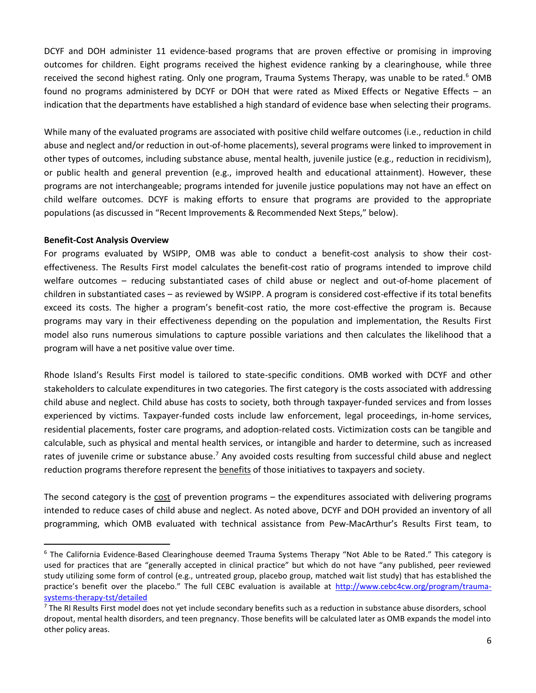DCYF and DOH administer 11 evidence-based programs that are proven effective or promising in improving outcomes for children. Eight programs received the highest evidence ranking by a clearinghouse, while three received the second highest rating. Only one program, Trauma Systems Therapy, was unable to be rated.<sup>6</sup> OMB found no programs administered by DCYF or DOH that were rated as Mixed Effects or Negative Effects – an indication that the departments have established a high standard of evidence base when selecting their programs.

While many of the evaluated programs are associated with positive child welfare outcomes (i.e., reduction in child abuse and neglect and/or reduction in out-of-home placements), several programs were linked to improvement in other types of outcomes, including substance abuse, mental health, juvenile justice (e.g., reduction in recidivism), or public health and general prevention (e.g., improved health and educational attainment). However, these programs are not interchangeable; programs intended for juvenile justice populations may not have an effect on child welfare outcomes. DCYF is making efforts to ensure that programs are provided to the appropriate populations (as discussed in "Recent Improvements & Recommended Next Steps," below).

#### **Benefit-Cost Analysis Overview**

 $\overline{a}$ 

For programs evaluated by WSIPP, OMB was able to conduct a benefit-cost analysis to show their costeffectiveness. The Results First model calculates the benefit-cost ratio of programs intended to improve child welfare outcomes – reducing substantiated cases of child abuse or neglect and out-of-home placement of children in substantiated cases – as reviewed by WSIPP. A program is considered cost-effective if its total benefits exceed its costs. The higher a program's benefit-cost ratio, the more cost-effective the program is. Because programs may vary in their effectiveness depending on the population and implementation, the Results First model also runs numerous simulations to capture possible variations and then calculates the likelihood that a program will have a net positive value over time.

Rhode Island's Results First model is tailored to state-specific conditions. OMB worked with DCYF and other stakeholders to calculate expenditures in two categories. The first category is the costs associated with addressing child abuse and neglect. Child abuse has costs to society, both through taxpayer-funded services and from losses experienced by victims. Taxpayer-funded costs include law enforcement, legal proceedings, in-home services, residential placements, foster care programs, and adoption-related costs. Victimization costs can be tangible and calculable, such as physical and mental health services, or intangible and harder to determine, such as increased rates of juvenile crime or substance abuse.<sup>7</sup> Any avoided costs resulting from successful child abuse and neglect reduction programs therefore represent the benefits of those initiatives to taxpayers and society.

The second category is the cost of prevention programs – the expenditures associated with delivering programs intended to reduce cases of child abuse and neglect. As noted above, DCYF and DOH provided an inventory of all programming, which OMB evaluated with technical assistance from Pew-MacArthur's Results First team, to

<sup>&</sup>lt;sup>6</sup> The California Evidence-Based Clearinghouse deemed Trauma Systems Therapy "Not Able to be Rated." This category is used for practices that are "generally accepted in clinical practice" but which do not have "any published, peer reviewed study utilizing some form of control (e.g., untreated group, placebo group, matched wait list study) that has established the practice's benefit over the placebo." The full CEBC evaluation is available at [http://www.cebc4cw.org/program/trauma](http://www.cebc4cw.org/program/trauma-systems-therapy-tst/detailed)[systems-therapy-tst/detailed](http://www.cebc4cw.org/program/trauma-systems-therapy-tst/detailed)

 $<sup>7</sup>$  The RI Results First model does not yet include secondary benefits such as a reduction in substance abuse disorders, school</sup> dropout, mental health disorders, and teen pregnancy. Those benefits will be calculated later as OMB expands the model into other policy areas.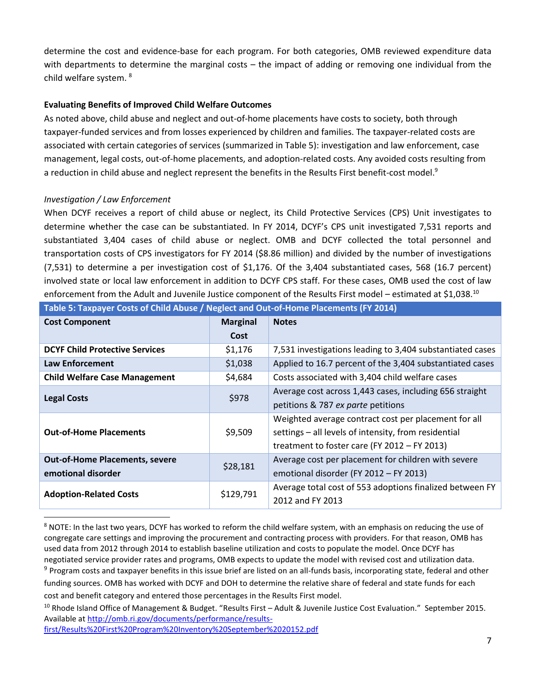determine the cost and evidence-base for each program. For both categories, OMB reviewed expenditure data with departments to determine the marginal costs – the impact of adding or removing one individual from the child welfare system. <sup>8</sup>

## **Evaluating Benefits of Improved Child Welfare Outcomes**

As noted above, child abuse and neglect and out-of-home placements have costs to society, both through taxpayer-funded services and from losses experienced by children and families. The taxpayer-related costs are associated with certain categories of services (summarized in Table 5): investigation and law enforcement, case management, legal costs, out-of-home placements, and adoption-related costs. Any avoided costs resulting from a reduction in child abuse and neglect represent the benefits in the Results First benefit-cost model.<sup>9</sup>

## *Investigation / Law Enforcement*

 $\overline{a}$ 

When DCYF receives a report of child abuse or neglect, its Child Protective Services (CPS) Unit investigates to determine whether the case can be substantiated. In FY 2014, DCYF's CPS unit investigated 7,531 reports and substantiated 3,404 cases of child abuse or neglect. OMB and DCYF collected the total personnel and transportation costs of CPS investigators for FY 2014 (\$8.86 million) and divided by the number of investigations (7,531) to determine a per investigation cost of \$1,176. Of the 3,404 substantiated cases, 568 (16.7 percent) involved state or local law enforcement in addition to DCYF CPS staff. For these cases, OMB used the cost of law enforcement from the Adult and Juvenile Justice component of the Results First model – estimated at \$1,038.<sup>10</sup>

| <b>Cost Component</b>                 | <b>Marginal</b> | <b>Notes</b>                                              |
|---------------------------------------|-----------------|-----------------------------------------------------------|
|                                       | Cost            |                                                           |
| <b>DCYF Child Protective Services</b> | \$1,176         | 7,531 investigations leading to 3,404 substantiated cases |
| <b>Law Enforcement</b>                | \$1,038         | Applied to 16.7 percent of the 3,404 substantiated cases  |
| <b>Child Welfare Case Management</b>  | \$4,684         | Costs associated with 3,404 child welfare cases           |
| <b>Legal Costs</b>                    | \$978           | Average cost across 1,443 cases, including 656 straight   |
|                                       |                 | petitions & 787 ex parte petitions                        |
|                                       |                 | Weighted average contract cost per placement for all      |
| <b>Out-of-Home Placements</b>         | \$9,509         | settings - all levels of intensity, from residential      |
|                                       |                 | treatment to foster care (FY 2012 - FY 2013)              |
| <b>Out-of-Home Placements, severe</b> | \$28,181        | Average cost per placement for children with severe       |
| emotional disorder                    |                 | emotional disorder (FY 2012 - FY 2013)                    |
| <b>Adoption-Related Costs</b>         | \$129,791       | Average total cost of 553 adoptions finalized between FY  |
|                                       |                 | 2012 and FY 2013                                          |

#### **Table 5: Taxpayer Costs of Child Abuse / Neglect and Out-of-Home Placements (FY 2014)**

<sup>8</sup> NOTE: In the last two years, DCYF has worked to reform the child welfare system, with an emphasis on reducing the use of congregate care settings and improving the procurement and contracting process with providers. For that reason, OMB has used data from 2012 through 2014 to establish baseline utilization and costs to populate the model. Once DCYF has negotiated service provider rates and programs, OMB expects to update the model with revised cost and utilization data. <sup>9</sup> Program costs and taxpayer benefits in this issue brief are listed on an all-funds basis, incorporating state, federal and other funding sources. OMB has worked with DCYF and DOH to determine the relative share of federal and state funds for each

cost and benefit category and entered those percentages in the Results First model.

[first/Results%20First%20Program%20Inventory%20September%2020152.pdf](http://omb.ri.gov/documents/performance/results-first/Results%20First%20Program%20Inventory%20September%2020152.pdf)

<sup>&</sup>lt;sup>10</sup> Rhode Island Office of Management & Budget. "Results First – Adult & Juvenile Justice Cost Evaluation." September 2015. Available at [http://omb.ri.gov/documents/performance/results-](http://omb.ri.gov/documents/performance/results-first/Results%20First%20Program%20Inventory%20September%2020152.pdf)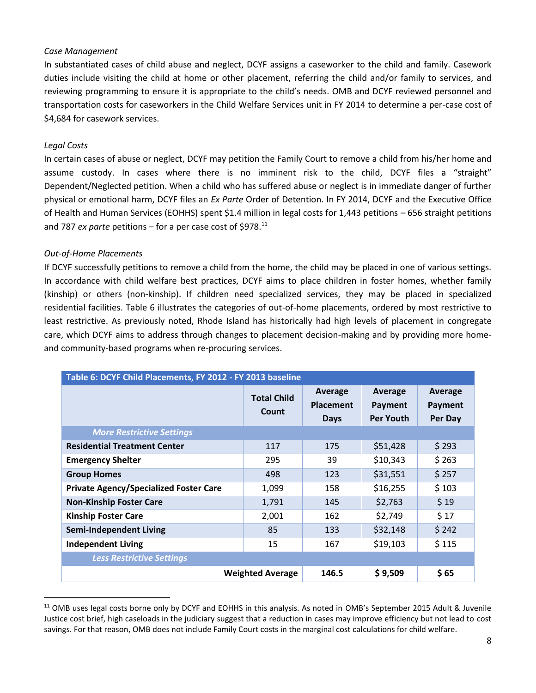### *Case Management*

In substantiated cases of child abuse and neglect, DCYF assigns a caseworker to the child and family. Casework duties include visiting the child at home or other placement, referring the child and/or family to services, and reviewing programming to ensure it is appropriate to the child's needs. OMB and DCYF reviewed personnel and transportation costs for caseworkers in the Child Welfare Services unit in FY 2014 to determine a per-case cost of \$4,684 for casework services.

### *Legal Costs*

 $\overline{a}$ 

In certain cases of abuse or neglect, DCYF may petition the Family Court to remove a child from his/her home and assume custody. In cases where there is no imminent risk to the child, DCYF files a "straight" Dependent/Neglected petition. When a child who has suffered abuse or neglect is in immediate danger of further physical or emotional harm, DCYF files an *Ex Parte* Order of Detention. In FY 2014, DCYF and the Executive Office of Health and Human Services (EOHHS) spent \$1.4 million in legal costs for 1,443 petitions – 656 straight petitions and 787 *ex parte* petitions – for a per case cost of \$978.<sup>11</sup>

#### *Out-of-Home Placements*

If DCYF successfully petitions to remove a child from the home, the child may be placed in one of various settings. In accordance with child welfare best practices, DCYF aims to place children in foster homes, whether family (kinship) or others (non-kinship). If children need specialized services, they may be placed in specialized residential facilities. Table 6 illustrates the categories of out-of-home placements, ordered by most restrictive to least restrictive. As previously noted, Rhode Island has historically had high levels of placement in congregate care, which DCYF aims to address through changes to placement decision-making and by providing more homeand community-based programs when re-procuring services.

| Table 6: DCYF Child Placements, FY 2012 - FY 2013 baseline |                                                                    |       |                                        |                               |  |  |  |  |  |
|------------------------------------------------------------|--------------------------------------------------------------------|-------|----------------------------------------|-------------------------------|--|--|--|--|--|
|                                                            | Average<br><b>Total Child</b><br><b>Placement</b><br>Count<br>Days |       | Average<br>Payment<br><b>Per Youth</b> | Average<br>Payment<br>Per Day |  |  |  |  |  |
| <b>More Restrictive Settings</b>                           |                                                                    |       |                                        |                               |  |  |  |  |  |
| <b>Residential Treatment Center</b>                        | 117                                                                | 175   | \$51,428                               | \$293                         |  |  |  |  |  |
| <b>Emergency Shelter</b>                                   | 295                                                                | 39    | \$10,343                               | \$263                         |  |  |  |  |  |
| <b>Group Homes</b>                                         | 498                                                                | 123   | \$31,551                               | \$257                         |  |  |  |  |  |
| <b>Private Agency/Specialized Foster Care</b>              | 1,099                                                              | 158   | \$16,255                               | \$103                         |  |  |  |  |  |
| <b>Non-Kinship Foster Care</b>                             | 1,791                                                              | 145   | \$2,763                                | \$19                          |  |  |  |  |  |
| <b>Kinship Foster Care</b>                                 | 2,001                                                              | 162   | \$2,749                                | \$17                          |  |  |  |  |  |
| <b>Semi-Independent Living</b>                             | 85                                                                 | 133   | \$32,148                               | \$242                         |  |  |  |  |  |
| <b>Independent Living</b>                                  | 15                                                                 | 167   | \$19,103                               | \$115                         |  |  |  |  |  |
| <b>Less Restrictive Settings</b>                           |                                                                    |       |                                        |                               |  |  |  |  |  |
|                                                            | <b>Weighted Average</b>                                            | 146.5 | \$9,509                                | \$ 65                         |  |  |  |  |  |

<sup>&</sup>lt;sup>11</sup> OMB uses legal costs borne only by DCYF and EOHHS in this analysis. As noted in OMB's September 2015 Adult & Juvenile Justice cost brief, high caseloads in the judiciary suggest that a reduction in cases may improve efficiency but not lead to cost savings. For that reason, OMB does not include Family Court costs in the marginal cost calculations for child welfare.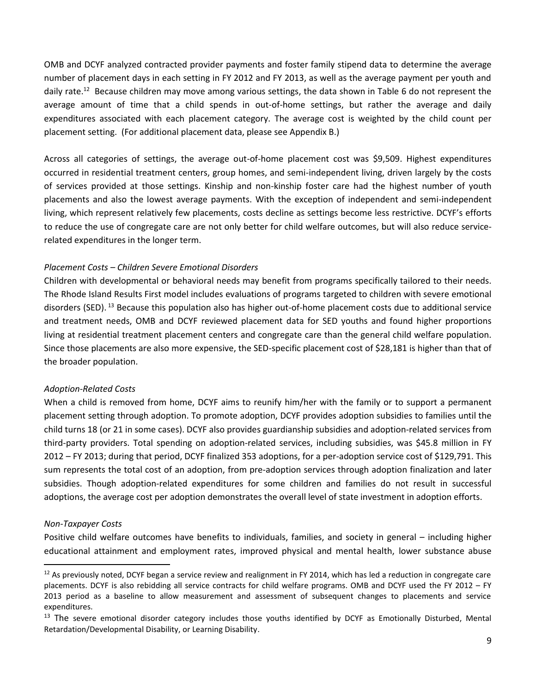OMB and DCYF analyzed contracted provider payments and foster family stipend data to determine the average number of placement days in each setting in FY 2012 and FY 2013, as well as the average payment per youth and daily rate.<sup>12</sup> Because children may move among various settings, the data shown in Table 6 do not represent the average amount of time that a child spends in out-of-home settings, but rather the average and daily expenditures associated with each placement category. The average cost is weighted by the child count per placement setting. (For additional placement data, please see Appendix B.)

Across all categories of settings, the average out-of-home placement cost was \$9,509. Highest expenditures occurred in residential treatment centers, group homes, and semi-independent living, driven largely by the costs of services provided at those settings. Kinship and non-kinship foster care had the highest number of youth placements and also the lowest average payments. With the exception of independent and semi-independent living, which represent relatively few placements, costs decline as settings become less restrictive. DCYF's efforts to reduce the use of congregate care are not only better for child welfare outcomes, but will also reduce servicerelated expenditures in the longer term.

### *Placement Costs – Children Severe Emotional Disorders*

Children with developmental or behavioral needs may benefit from programs specifically tailored to their needs. The Rhode Island Results First model includes evaluations of programs targeted to children with severe emotional disorders (SED). <sup>13</sup> Because this population also has higher out-of-home placement costs due to additional service and treatment needs, OMB and DCYF reviewed placement data for SED youths and found higher proportions living at residential treatment placement centers and congregate care than the general child welfare population. Since those placements are also more expensive, the SED-specific placement cost of \$28,181 is higher than that of the broader population.

#### *Adoption-Related Costs*

When a child is removed from home, DCYF aims to reunify him/her with the family or to support a permanent placement setting through adoption. To promote adoption, DCYF provides adoption subsidies to families until the child turns 18 (or 21 in some cases). DCYF also provides guardianship subsidies and adoption-related services from third-party providers. Total spending on adoption-related services, including subsidies, was \$45.8 million in FY 2012 – FY 2013; during that period, DCYF finalized 353 adoptions, for a per-adoption service cost of \$129,791. This sum represents the total cost of an adoption, from pre-adoption services through adoption finalization and later subsidies. Though adoption-related expenditures for some children and families do not result in successful adoptions, the average cost per adoption demonstrates the overall level of state investment in adoption efforts.

#### *Non-Taxpayer Costs*

 $\overline{a}$ 

Positive child welfare outcomes have benefits to individuals, families, and society in general – including higher educational attainment and employment rates, improved physical and mental health, lower substance abuse

 $12$  As previously noted, DCYF began a service review and realignment in FY 2014, which has led a reduction in congregate care placements. DCYF is also rebidding all service contracts for child welfare programs. OMB and DCYF used the FY 2012 – FY 2013 period as a baseline to allow measurement and assessment of subsequent changes to placements and service expenditures.

<sup>&</sup>lt;sup>13</sup> The severe emotional disorder category includes those youths identified by DCYF as Emotionally Disturbed, Mental Retardation/Developmental Disability, or Learning Disability.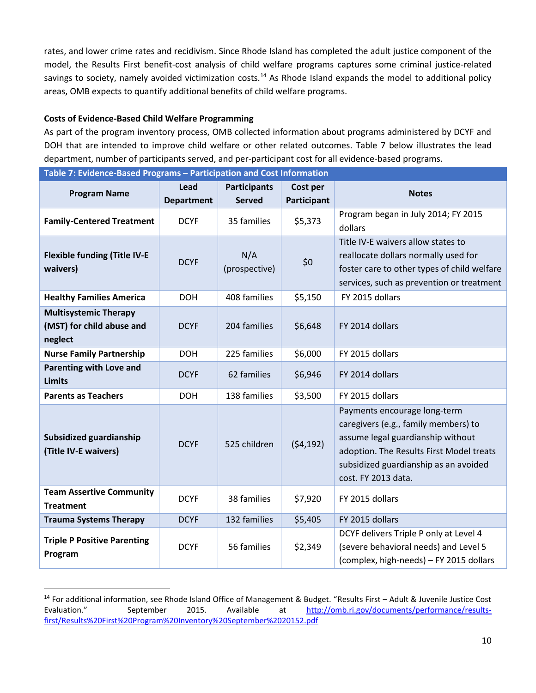rates, and lower crime rates and recidivism. Since Rhode Island has completed the adult justice component of the model, the Results First benefit-cost analysis of child welfare programs captures some criminal justice-related savings to society, namely avoided victimization costs.<sup>14</sup> As Rhode Island expands the model to additional policy areas, OMB expects to quantify additional benefits of child welfare programs.

## **Costs of Evidence-Based Child Welfare Programming**

 $\overline{a}$ 

As part of the program inventory process, OMB collected information about programs administered by DCYF and DOH that are intended to improve child welfare or other related outcomes. Table 7 below illustrates the lead department, number of participants served, and per-participant cost for all evidence-based programs.

| Table 7: Evidence-Based Programs - Participation and Cost Information |                           |                                      |                         |                                                                                                                                                                                                                       |
|-----------------------------------------------------------------------|---------------------------|--------------------------------------|-------------------------|-----------------------------------------------------------------------------------------------------------------------------------------------------------------------------------------------------------------------|
| <b>Program Name</b>                                                   | Lead<br><b>Department</b> | <b>Participants</b><br><b>Served</b> | Cost per<br>Participant | <b>Notes</b>                                                                                                                                                                                                          |
| <b>Family-Centered Treatment</b>                                      | <b>DCYF</b>               | 35 families                          | \$5,373                 | Program began in July 2014; FY 2015<br>dollars                                                                                                                                                                        |
| <b>Flexible funding (Title IV-E</b><br>waivers)                       | <b>DCYF</b>               | N/A<br>(prospective)                 | \$0                     | Title IV-E waivers allow states to<br>reallocate dollars normally used for<br>foster care to other types of child welfare<br>services, such as prevention or treatment                                                |
| <b>Healthy Families America</b>                                       | <b>DOH</b>                | 408 families                         | \$5,150                 | FY 2015 dollars                                                                                                                                                                                                       |
| <b>Multisystemic Therapy</b><br>(MST) for child abuse and<br>neglect  | <b>DCYF</b>               | 204 families                         | \$6,648                 | FY 2014 dollars                                                                                                                                                                                                       |
| <b>Nurse Family Partnership</b>                                       | <b>DOH</b>                | 225 families                         | \$6,000                 | FY 2015 dollars                                                                                                                                                                                                       |
| <b>Parenting with Love and</b><br><b>Limits</b>                       | <b>DCYF</b>               | 62 families                          | \$6,946                 | FY 2014 dollars                                                                                                                                                                                                       |
| <b>Parents as Teachers</b>                                            | <b>DOH</b>                | 138 families                         | \$3,500                 | FY 2015 dollars                                                                                                                                                                                                       |
| Subsidized guardianship<br>(Title IV-E waivers)                       | <b>DCYF</b>               | 525 children                         | (54, 192)               | Payments encourage long-term<br>caregivers (e.g., family members) to<br>assume legal guardianship without<br>adoption. The Results First Model treats<br>subsidized guardianship as an avoided<br>cost. FY 2013 data. |
| <b>Team Assertive Community</b><br><b>Treatment</b>                   | <b>DCYF</b>               | 38 families                          | \$7,920                 | FY 2015 dollars                                                                                                                                                                                                       |
| <b>Trauma Systems Therapy</b>                                         | <b>DCYF</b>               | 132 families                         | \$5,405                 | FY 2015 dollars                                                                                                                                                                                                       |
| <b>Triple P Positive Parenting</b><br>Program                         | <b>DCYF</b>               | 56 families                          | \$2,349                 | DCYF delivers Triple P only at Level 4<br>(severe behavioral needs) and Level 5<br>(complex, high-needs) - FY 2015 dollars                                                                                            |

<sup>&</sup>lt;sup>14</sup> For additional information, see Rhode Island Office of Management & Budget. "Results First – Adult & Juvenile Justice Cost Evaluation." September 2015. Available at [http://omb.ri.gov/documents/performance/results](http://omb.ri.gov/documents/performance/results-first/Results%20First%20Program%20Inventory%20September%2020152.pdf)[first/Results%20First%20Program%20Inventory%20September%2020152.pdf](http://omb.ri.gov/documents/performance/results-first/Results%20First%20Program%20Inventory%20September%2020152.pdf)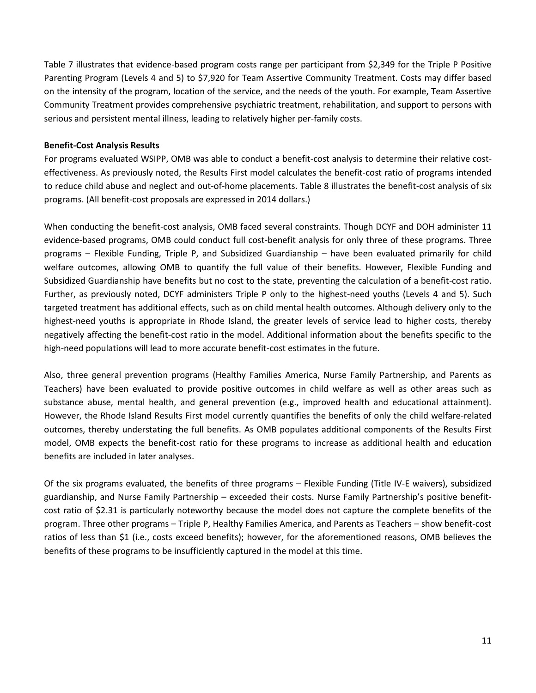Table 7 illustrates that evidence-based program costs range per participant from \$2,349 for the Triple P Positive Parenting Program (Levels 4 and 5) to \$7,920 for Team Assertive Community Treatment. Costs may differ based on the intensity of the program, location of the service, and the needs of the youth. For example, Team Assertive Community Treatment provides comprehensive psychiatric treatment, rehabilitation, and support to persons with serious and persistent mental illness, leading to relatively higher per-family costs.

## **Benefit-Cost Analysis Results**

For programs evaluated WSIPP, OMB was able to conduct a benefit-cost analysis to determine their relative costeffectiveness. As previously noted, the Results First model calculates the benefit-cost ratio of programs intended to reduce child abuse and neglect and out-of-home placements. Table 8 illustrates the benefit-cost analysis of six programs. (All benefit-cost proposals are expressed in 2014 dollars.)

When conducting the benefit-cost analysis, OMB faced several constraints. Though DCYF and DOH administer 11 evidence-based programs, OMB could conduct full cost-benefit analysis for only three of these programs. Three programs – Flexible Funding, Triple P, and Subsidized Guardianship – have been evaluated primarily for child welfare outcomes, allowing OMB to quantify the full value of their benefits. However, Flexible Funding and Subsidized Guardianship have benefits but no cost to the state, preventing the calculation of a benefit-cost ratio. Further, as previously noted, DCYF administers Triple P only to the highest-need youths (Levels 4 and 5). Such targeted treatment has additional effects, such as on child mental health outcomes. Although delivery only to the highest-need youths is appropriate in Rhode Island, the greater levels of service lead to higher costs, thereby negatively affecting the benefit-cost ratio in the model. Additional information about the benefits specific to the high-need populations will lead to more accurate benefit-cost estimates in the future.

Also, three general prevention programs (Healthy Families America, Nurse Family Partnership, and Parents as Teachers) have been evaluated to provide positive outcomes in child welfare as well as other areas such as substance abuse, mental health, and general prevention (e.g., improved health and educational attainment). However, the Rhode Island Results First model currently quantifies the benefits of only the child welfare-related outcomes, thereby understating the full benefits. As OMB populates additional components of the Results First model, OMB expects the benefit-cost ratio for these programs to increase as additional health and education benefits are included in later analyses.

Of the six programs evaluated, the benefits of three programs – Flexible Funding (Title IV-E waivers), subsidized guardianship, and Nurse Family Partnership – exceeded their costs. Nurse Family Partnership's positive benefitcost ratio of \$2.31 is particularly noteworthy because the model does not capture the complete benefits of the program. Three other programs – Triple P, Healthy Families America, and Parents as Teachers – show benefit-cost ratios of less than \$1 (i.e., costs exceed benefits); however, for the aforementioned reasons, OMB believes the benefits of these programs to be insufficiently captured in the model at this time.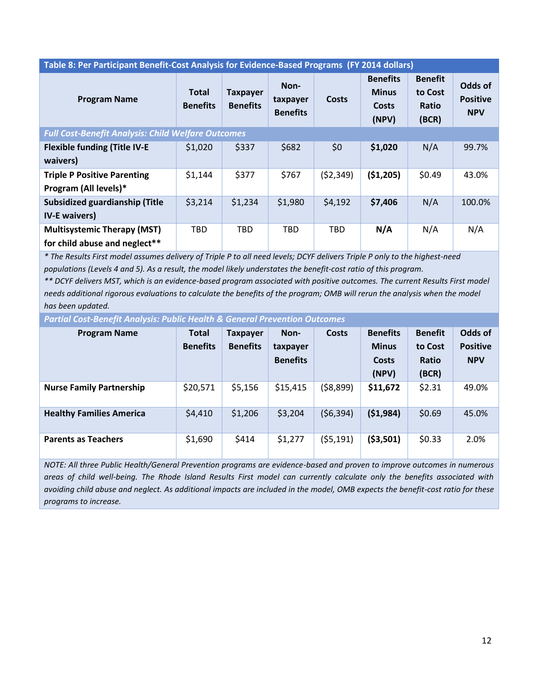| Table 8: Per Participant Benefit-Cost Analysis for Evidence-Based Programs (FY 2014 dollars) |                                 |                                    |                                     |              |                                                   |                                                    |                                          |  |  |
|----------------------------------------------------------------------------------------------|---------------------------------|------------------------------------|-------------------------------------|--------------|---------------------------------------------------|----------------------------------------------------|------------------------------------------|--|--|
| <b>Program Name</b>                                                                          | <b>Total</b><br><b>Benefits</b> | <b>Taxpayer</b><br><b>Benefits</b> | Non-<br>taxpayer<br><b>Benefits</b> | <b>Costs</b> | <b>Benefits</b><br><b>Minus</b><br>Costs<br>(NPV) | <b>Benefit</b><br>to Cost<br><b>Ratio</b><br>(BCR) | Odds of<br><b>Positive</b><br><b>NPV</b> |  |  |
| <b>Full Cost-Benefit Analysis: Child Welfare Outcomes</b>                                    |                                 |                                    |                                     |              |                                                   |                                                    |                                          |  |  |
| <b>Flexible funding (Title IV-E</b><br>waivers)                                              | \$1,020                         | \$337                              | \$682                               | \$0          | \$1,020                                           | N/A                                                | 99.7%                                    |  |  |
| <b>Triple P Positive Parenting</b><br>Program (All levels)*                                  | \$1,144                         | \$377                              | \$767                               | (52, 349)    | ( \$1,205)                                        | \$0.49                                             | 43.0%                                    |  |  |
| <b>Subsidized guardianship (Title</b><br><b>IV-E</b> waivers)                                | \$3,214                         | \$1,234                            | \$1,980                             | \$4,192      | \$7,406                                           | N/A                                                | 100.0%                                   |  |  |
| <b>Multisystemic Therapy (MST)</b><br>for child abuse and neglect**                          | <b>TBD</b>                      | <b>TBD</b>                         | <b>TBD</b>                          | <b>TBD</b>   | N/A                                               | N/A                                                | N/A                                      |  |  |

*\* The Results First model assumes delivery of Triple P to all need levels; DCYF delivers Triple P only to the highest-need populations (Levels 4 and 5). As a result, the model likely understates the benefit-cost ratio of this program.* 

*\*\* DCYF delivers MST, which is an evidence-based program associated with positive outcomes. The current Results First model needs additional rigorous evaluations to calculate the benefits of the program; OMB will rerun the analysis when the model has been updated.* 

*Partial Cost-Benefit Analysis: Public Health & General Prevention Outcomes*

| <b>Program Name</b>             | <b>Total</b><br><b>Benefits</b> | Taxpayer<br><b>Benefits</b> | Non-<br>taxpayer<br><b>Benefits</b> | <b>Costs</b> | <b>Benefits</b><br><b>Minus</b><br><b>Costs</b><br>(NPV) | <b>Benefit</b><br>to Cost<br><b>Ratio</b><br>(BCR) | Odds of<br><b>Positive</b><br><b>NPV</b> |
|---------------------------------|---------------------------------|-----------------------------|-------------------------------------|--------------|----------------------------------------------------------|----------------------------------------------------|------------------------------------------|
| <b>Nurse Family Partnership</b> | \$20,571                        | \$5,156                     | \$15,415                            | (58, 899)    | \$11,672                                                 | \$2.31                                             | 49.0%                                    |
| <b>Healthy Families America</b> | \$4,410                         | \$1,206                     | \$3,204                             | (56, 394)    | (51, 984)                                                | \$0.69                                             | 45.0%                                    |
| <b>Parents as Teachers</b>      | \$1,690                         | \$414                       | \$1,277                             | (55, 191)    | ( \$3,501)                                               | \$0.33                                             | 2.0%                                     |

*NOTE: All three Public Health/General Prevention programs are evidence-based and proven to improve outcomes in numerous areas of child well-being. The Rhode Island Results First model can currently calculate only the benefits associated with avoiding child abuse and neglect. As additional impacts are included in the model, OMB expects the benefit-cost ratio for these programs to increase.*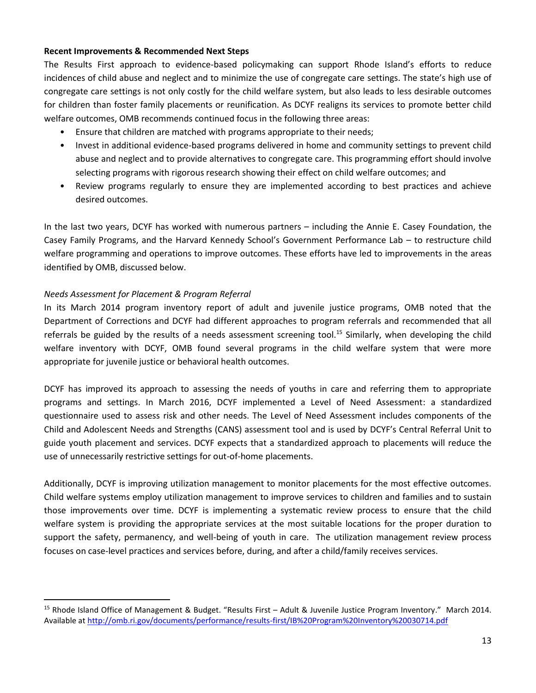#### **Recent Improvements & Recommended Next Steps**

The Results First approach to evidence-based policymaking can support Rhode Island's efforts to reduce incidences of child abuse and neglect and to minimize the use of congregate care settings. The state's high use of congregate care settings is not only costly for the child welfare system, but also leads to less desirable outcomes for children than foster family placements or reunification. As DCYF realigns its services to promote better child welfare outcomes, OMB recommends continued focus in the following three areas:

- Ensure that children are matched with programs appropriate to their needs;
- Invest in additional evidence-based programs delivered in home and community settings to prevent child abuse and neglect and to provide alternatives to congregate care. This programming effort should involve selecting programs with rigorous research showing their effect on child welfare outcomes; and
- Review programs regularly to ensure they are implemented according to best practices and achieve desired outcomes.

In the last two years, DCYF has worked with numerous partners – including the Annie E. Casey Foundation, the Casey Family Programs, and the Harvard Kennedy School's Government Performance Lab – to restructure child welfare programming and operations to improve outcomes. These efforts have led to improvements in the areas identified by OMB, discussed below.

## *Needs Assessment for Placement & Program Referral*

 $\overline{a}$ 

In its March 2014 program inventory report of adult and juvenile justice programs, OMB noted that the Department of Corrections and DCYF had different approaches to program referrals and recommended that all referrals be guided by the results of a needs assessment screening tool.<sup>15</sup> Similarly, when developing the child welfare inventory with DCYF, OMB found several programs in the child welfare system that were more appropriate for juvenile justice or behavioral health outcomes.

DCYF has improved its approach to assessing the needs of youths in care and referring them to appropriate programs and settings. In March 2016, DCYF implemented a Level of Need Assessment: a standardized questionnaire used to assess risk and other needs. The Level of Need Assessment includes components of the Child and Adolescent Needs and Strengths (CANS) assessment tool and is used by DCYF's Central Referral Unit to guide youth placement and services. DCYF expects that a standardized approach to placements will reduce the use of unnecessarily restrictive settings for out-of-home placements.

Additionally, DCYF is improving utilization management to monitor placements for the most effective outcomes. Child welfare systems employ utilization management to improve services to children and families and to sustain those improvements over time. DCYF is implementing a systematic review process to ensure that the child welfare system is providing the appropriate services at the most suitable locations for the proper duration to support the safety, permanency, and well-being of youth in care. The utilization management review process focuses on case-level practices and services before, during, and after a child/family receives services.

<sup>15</sup> Rhode Island Office of Management & Budget. "Results First – Adult & Juvenile Justice Program Inventory." March 2014. Available at<http://omb.ri.gov/documents/performance/results-first/IB%20Program%20Inventory%20030714.pdf>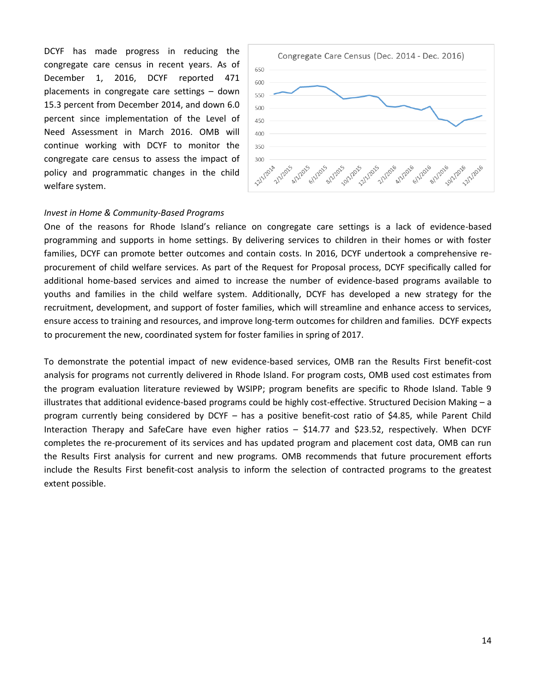DCYF has made progress in reducing the congregate care census in recent years. As of December 1, 2016, DCYF reported 471 placements in congregate care settings – down 15.3 percent from December 2014, and down 6.0 percent since implementation of the Level of Need Assessment in March 2016. OMB will continue working with DCYF to monitor the congregate care census to assess the impact of policy and programmatic changes in the child welfare system.



#### *Invest in Home & Community-Based Programs*

One of the reasons for Rhode Island's reliance on congregate care settings is a lack of evidence-based programming and supports in home settings. By delivering services to children in their homes or with foster families, DCYF can promote better outcomes and contain costs. In 2016, DCYF undertook a comprehensive reprocurement of child welfare services. As part of the Request for Proposal process, DCYF specifically called for additional home-based services and aimed to increase the number of evidence-based programs available to youths and families in the child welfare system. Additionally, DCYF has developed a new strategy for the recruitment, development, and support of foster families, which will streamline and enhance access to services, ensure access to training and resources, and improve long-term outcomes for children and families. DCYF expects to procurement the new, coordinated system for foster families in spring of 2017.

To demonstrate the potential impact of new evidence-based services, OMB ran the Results First benefit-cost analysis for programs not currently delivered in Rhode Island. For program costs, OMB used cost estimates from the program evaluation literature reviewed by WSIPP; program benefits are specific to Rhode Island. Table 9 illustrates that additional evidence-based programs could be highly cost-effective. Structured Decision Making – a program currently being considered by DCYF – has a positive benefit-cost ratio of \$4.85, while Parent Child Interaction Therapy and SafeCare have even higher ratios – \$14.77 and \$23.52, respectively. When DCYF completes the re-procurement of its services and has updated program and placement cost data, OMB can run the Results First analysis for current and new programs. OMB recommends that future procurement efforts include the Results First benefit-cost analysis to inform the selection of contracted programs to the greatest extent possible.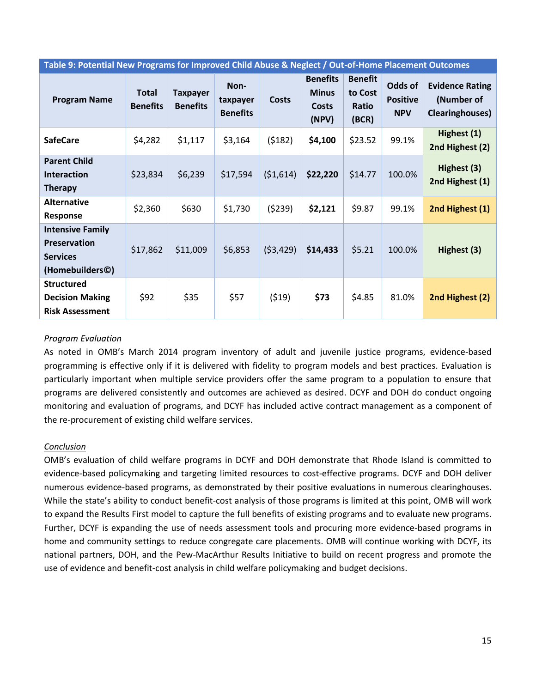| Table 9: Potential New Programs for Improved Child Abuse & Neglect / Out-of-Home Placement Outcomes |                                 |                                    |                                     |              |                                                          |                                                    |                                          |                                                                 |  |
|-----------------------------------------------------------------------------------------------------|---------------------------------|------------------------------------|-------------------------------------|--------------|----------------------------------------------------------|----------------------------------------------------|------------------------------------------|-----------------------------------------------------------------|--|
| <b>Program Name</b>                                                                                 | <b>Total</b><br><b>Benefits</b> | <b>Taxpayer</b><br><b>Benefits</b> | Non-<br>taxpayer<br><b>Benefits</b> | <b>Costs</b> | <b>Benefits</b><br><b>Minus</b><br><b>Costs</b><br>(NPV) | <b>Benefit</b><br>to Cost<br><b>Ratio</b><br>(BCR) | Odds of<br><b>Positive</b><br><b>NPV</b> | <b>Evidence Rating</b><br>(Number of<br><b>Clearinghouses</b> ) |  |
| <b>SafeCare</b>                                                                                     | \$4,282                         | \$1,117                            | \$3,164                             | (5182)       | \$4,100                                                  | \$23.52                                            | 99.1%                                    | Highest (1)<br>2nd Highest (2)                                  |  |
| <b>Parent Child</b><br><b>Interaction</b><br><b>Therapy</b>                                         | \$23,834                        | \$6,239                            | \$17,594                            | (51,614)     | \$22,220                                                 | \$14.77                                            | 100.0%                                   | Highest (3)<br>2nd Highest (1)                                  |  |
| <b>Alternative</b><br>Response                                                                      | \$2,360                         | \$630                              | \$1,730                             | (5239)       | \$2,121                                                  | \$9.87                                             | 99.1%                                    | 2nd Highest (1)                                                 |  |
| <b>Intensive Family</b><br>Preservation<br><b>Services</b><br>(Homebuilders©)                       | \$17,862                        | \$11,009                           | \$6,853                             | (53, 429)    | \$14,433                                                 | \$5.21                                             | 100.0%                                   | Highest (3)                                                     |  |
| <b>Structured</b><br><b>Decision Making</b><br><b>Risk Assessment</b>                               | \$92                            | \$35                               | \$57                                | (519)        | \$73                                                     | \$4.85                                             | 81.0%                                    | 2nd Highest (2)                                                 |  |

## *Program Evaluation*

As noted in OMB's March 2014 program inventory of adult and juvenile justice programs, evidence-based programming is effective only if it is delivered with fidelity to program models and best practices. Evaluation is particularly important when multiple service providers offer the same program to a population to ensure that programs are delivered consistently and outcomes are achieved as desired. DCYF and DOH do conduct ongoing monitoring and evaluation of programs, and DCYF has included active contract management as a component of the re-procurement of existing child welfare services.

## *Conclusion*

OMB's evaluation of child welfare programs in DCYF and DOH demonstrate that Rhode Island is committed to evidence-based policymaking and targeting limited resources to cost-effective programs. DCYF and DOH deliver numerous evidence-based programs, as demonstrated by their positive evaluations in numerous clearinghouses. While the state's ability to conduct benefit-cost analysis of those programs is limited at this point, OMB will work to expand the Results First model to capture the full benefits of existing programs and to evaluate new programs. Further, DCYF is expanding the use of needs assessment tools and procuring more evidence-based programs in home and community settings to reduce congregate care placements. OMB will continue working with DCYF, its national partners, DOH, and the Pew-MacArthur Results Initiative to build on recent progress and promote the use of evidence and benefit-cost analysis in child welfare policymaking and budget decisions.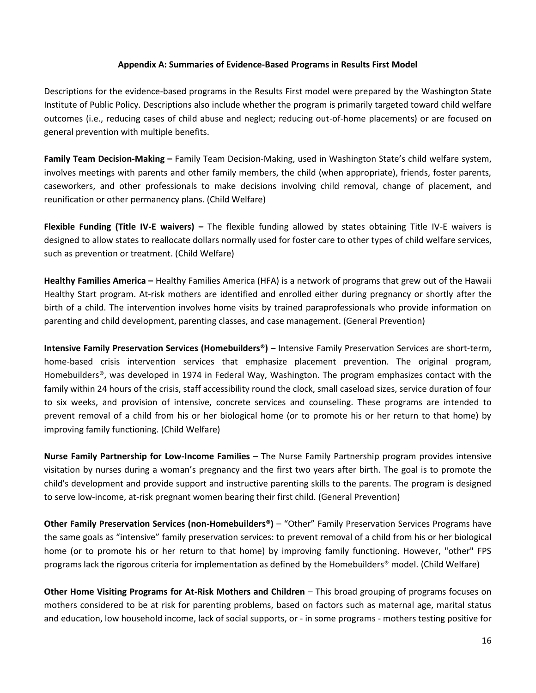#### **Appendix A: Summaries of Evidence-Based Programs in Results First Model**

Descriptions for the evidence-based programs in the Results First model were prepared by the Washington State Institute of Public Policy. Descriptions also include whether the program is primarily targeted toward child welfare outcomes (i.e., reducing cases of child abuse and neglect; reducing out-of-home placements) or are focused on general prevention with multiple benefits.

**Family Team Decision-Making –** Family Team Decision-Making, used in Washington State's child welfare system, involves meetings with parents and other family members, the child (when appropriate), friends, foster parents, caseworkers, and other professionals to make decisions involving child removal, change of placement, and reunification or other permanency plans. (Child Welfare)

**Flexible Funding (Title IV-E waivers) –** The flexible funding allowed by states obtaining Title IV-E waivers is designed to allow states to reallocate dollars normally used for foster care to other types of child welfare services, such as prevention or treatment. (Child Welfare)

**Healthy Families America –** Healthy Families America (HFA) is a network of programs that grew out of the Hawaii Healthy Start program. At-risk mothers are identified and enrolled either during pregnancy or shortly after the birth of a child. The intervention involves home visits by trained paraprofessionals who provide information on parenting and child development, parenting classes, and case management. (General Prevention)

**Intensive Family Preservation Services (Homebuilders®)** – Intensive Family Preservation Services are short-term, home-based crisis intervention services that emphasize placement prevention. The original program, Homebuilders®, was developed in 1974 in Federal Way, Washington. The program emphasizes contact with the family within 24 hours of the crisis, staff accessibility round the clock, small caseload sizes, service duration of four to six weeks, and provision of intensive, concrete services and counseling. These programs are intended to prevent removal of a child from his or her biological home (or to promote his or her return to that home) by improving family functioning. (Child Welfare)

**Nurse Family Partnership for Low-Income Families** – The Nurse Family Partnership program provides intensive visitation by nurses during a woman's pregnancy and the first two years after birth. The goal is to promote the child's development and provide support and instructive parenting skills to the parents. The program is designed to serve low-income, at-risk pregnant women bearing their first child. (General Prevention)

**Other Family Preservation Services (non-Homebuilders®)** – "Other" Family Preservation Services Programs have the same goals as "intensive" family preservation services: to prevent removal of a child from his or her biological home (or to promote his or her return to that home) by improving family functioning. However, "other" FPS programs lack the rigorous criteria for implementation as defined by the Homebuilders® model. (Child Welfare)

**Other Home Visiting Programs for At-Risk Mothers and Children** – This broad grouping of programs focuses on mothers considered to be at risk for parenting problems, based on factors such as maternal age, marital status and education, low household income, lack of social supports, or - in some programs - mothers testing positive for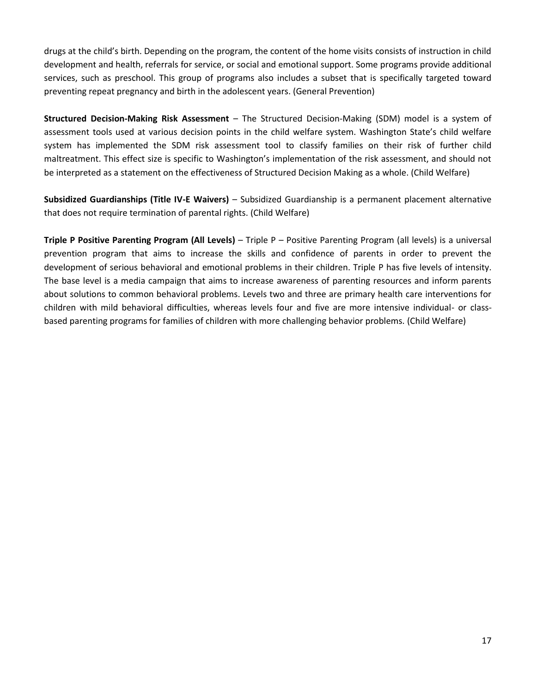drugs at the child's birth. Depending on the program, the content of the home visits consists of instruction in child development and health, referrals for service, or social and emotional support. Some programs provide additional services, such as preschool. This group of programs also includes a subset that is specifically targeted toward preventing repeat pregnancy and birth in the adolescent years. (General Prevention)

**Structured Decision-Making Risk Assessment** – The Structured Decision-Making (SDM) model is a system of assessment tools used at various decision points in the child welfare system. Washington State's child welfare system has implemented the SDM risk assessment tool to classify families on their risk of further child maltreatment. This effect size is specific to Washington's implementation of the risk assessment, and should not be interpreted as a statement on the effectiveness of Structured Decision Making as a whole. (Child Welfare)

**Subsidized Guardianships (Title IV-E Waivers)** – Subsidized Guardianship is a permanent placement alternative that does not require termination of parental rights. (Child Welfare)

**Triple P Positive Parenting Program (All Levels)** – Triple P – Positive Parenting Program (all levels) is a universal prevention program that aims to increase the skills and confidence of parents in order to prevent the development of serious behavioral and emotional problems in their children. Triple P has five levels of intensity. The base level is a media campaign that aims to increase awareness of parenting resources and inform parents about solutions to common behavioral problems. Levels two and three are primary health care interventions for children with mild behavioral difficulties, whereas levels four and five are more intensive individual- or classbased parenting programs for families of children with more challenging behavior problems. (Child Welfare)